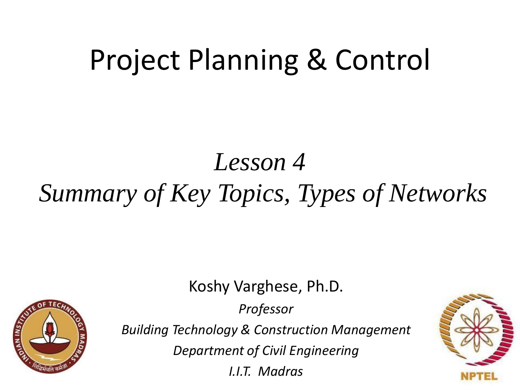# Project Planning & Control

## *Lesson 4 Summary of Key Topics, Types of Networks*

Koshy Varghese, Ph.D.

**STAN INSTITUTION** 

*Professor*

*Building Technology & Construction Management*

*Department of Civil Engineering*

*I.I.T. Madras*

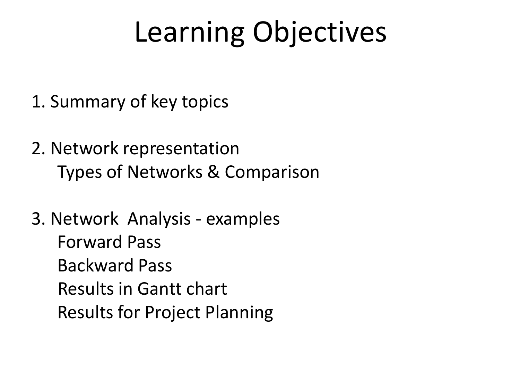# Learning Objectives

- 1. Summary of key topics
- 2. Network representation Types of Networks & Comparison

3. Network Analysis - examples Forward Pass Backward Pass Results in Gantt chart Results for Project Planning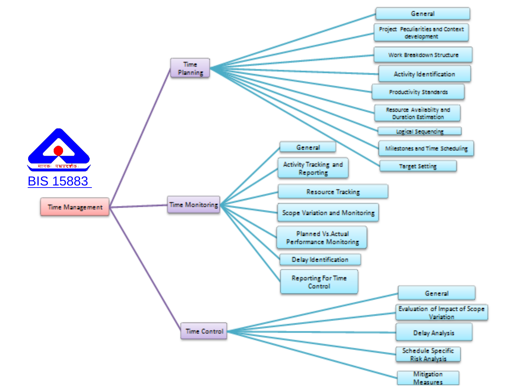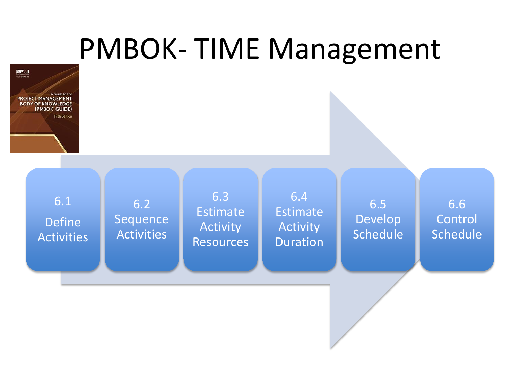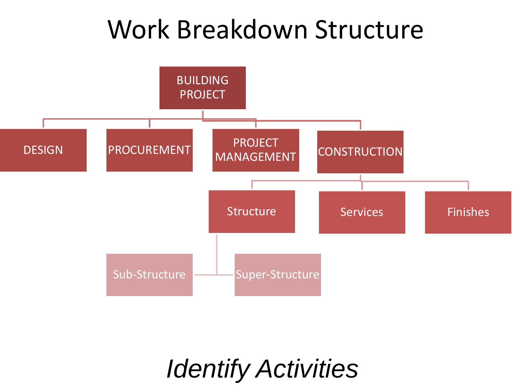## Work Breakdown Structure



*Identify Activities*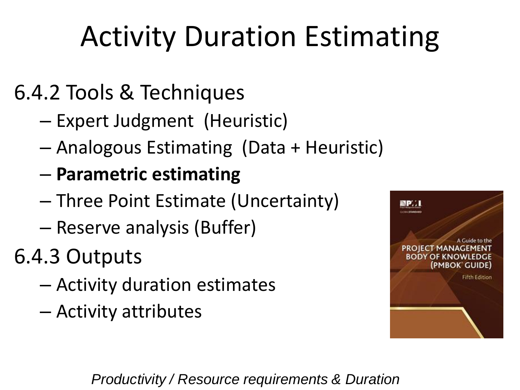# Activity Duration Estimating

#### 6.4.2 Tools & Techniques

- Expert Judgment (Heuristic)
- Analogous Estimating (Data + Heuristic)
- **Parametric estimating**
- Three Point Estimate (Uncertainty)
- Reserve analysis (Buffer)
- 6.4.3 Outputs
	- Activity duration estimates
	- Activity attributes



*Productivity / Resource requirements & Duration*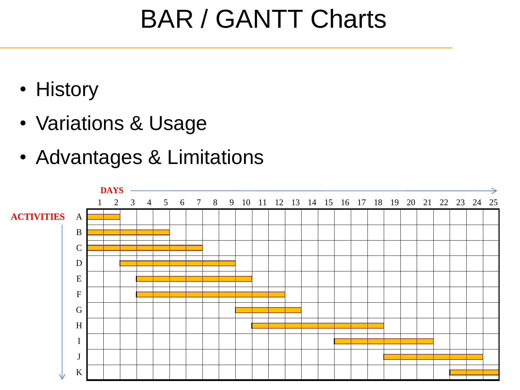## BAR / GANTT Charts

- History
- Variations & Usage
- Advantages & Limitations